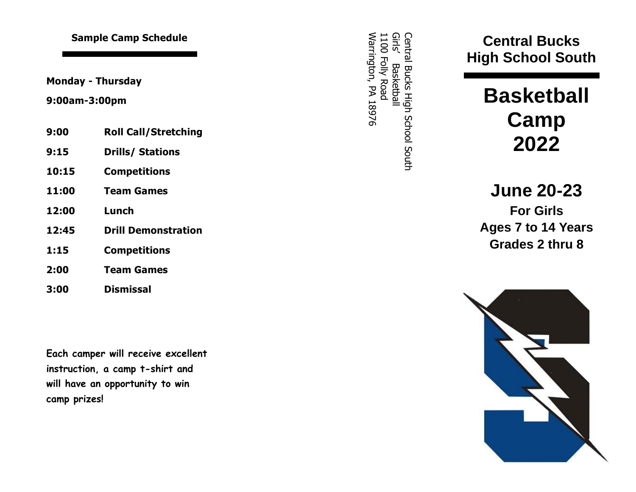**Monday - Thursday**

### **9:00am -3:00pm**

| 9:00 |  |  | <b>Roll Call/Stretching</b> |  |
|------|--|--|-----------------------------|--|
|------|--|--|-----------------------------|--|

- **9:15 Drills/ Stations**
- **10:15 Competitions**
- **11:00 Team Games**
- **12:00 Lunch**
- **12:45 Drill Demonstration**
- **1:15 Competitions**
- **2:00 Team Games**
- **3:00 Dismissal**

**Each camper will receive excellent instruction, a camp t -shirt and will have an opportunity to win camp prizes!**

Central Bucks High School Central Bucks High School South Girls' Basketball Warrington, PA 18976 1100 Folly Road **Sample Camp Schedule**<br>
May - Thursday<br>
May - Thursday<br>
May - Thursday<br>
May - Thursday<br>
May - Thursday<br>
May - Thursday<br>
May - Thursday<br>
May - Thursday<br>
May - Thursday<br>
May - Thursday<br>
May - Thursday<br>
May - Thursday<br>
May -

**High School South**

# **Basketball Camp 20 2 2**

**J une 2 0 - 2 3 For Girls Ages 7 to 14 Years Grades 2 thru 8**